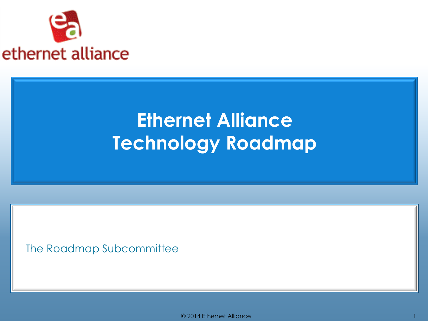

#### **Ethernet Alliance Technology Roadmap**

The Roadmap Subcommittee

© 2014 Ethernet Alliance 1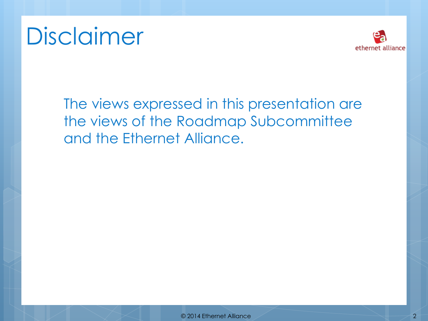# Disclaimer



The views expressed in this presentation are the views of the Roadmap Subcommittee and the Ethernet Alliance.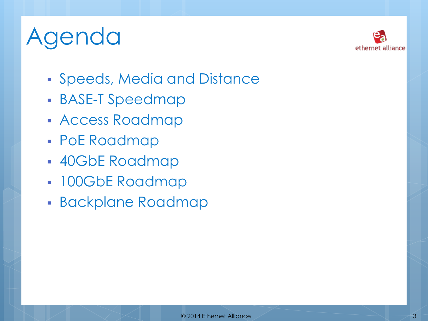# Agenda



- Speeds, Media and Distance
- BASE-T Speedmap
- **Access Roadmap**
- PoE Roadmap
- 40GbE Roadmap
- 100GbE Roadmap
- **Backplane Roadmap**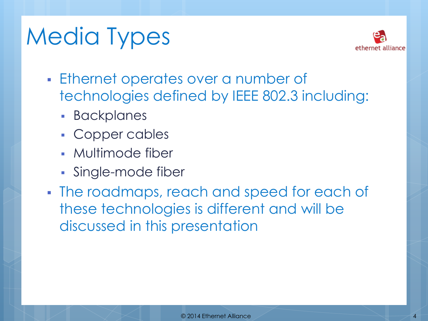# Media Types



- Ethernet operates over a number of technologies defined by IEEE 802.3 including:
	- **Backplanes**
	- Copper cables
	- Multimode fiber
	- **Single-mode fiber**
- The roadmaps, reach and speed for each of these technologies is different and will be discussed in this presentation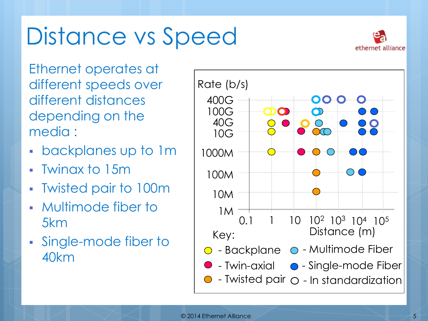# Distance vs Speed



Ethernet operates at different speeds over different distances depending on the media :

- backplanes up to 1m
- Twinax to 15m
- Twisted pair to 100m
- Multimode fiber to 5km
- Single-mode fiber to 40km

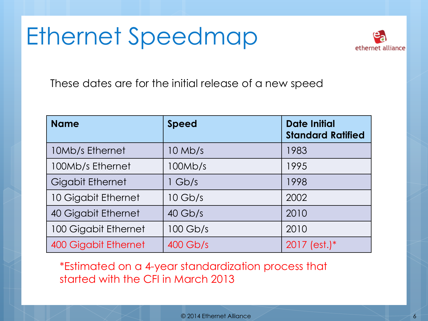### Ethernet Speedmap



These dates are for the initial release of a new speed

| <b>Name</b>                 | <b>Speed</b> | <b>Date Initial</b><br><b>Standard Ratified</b> |
|-----------------------------|--------------|-------------------------------------------------|
| 10Mb/s Ethernet             | $10$ Mb/s    | 1983                                            |
| 100Mb/s Ethernet            | 100Mb/s      | 1995                                            |
| <b>Gigabit Ethernet</b>     | 1 Gb/s       | 1998                                            |
| 10 Gigabit Ethernet         | $10$ Gb/s    | 2002                                            |
| 40 Gigabit Ethernet         | $40$ Gb/s    | 2010                                            |
| 100 Gigabit Ethernet        | $100$ Gb/s   | 2010                                            |
| <b>400 Gigabit Ethernet</b> | $400$ Gb/s   | $2017$ (est.)*                                  |

\*Estimated on a 4-year standardization process that started with the CFI in March 2013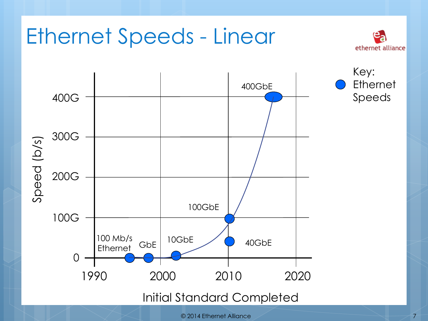

<sup>© 2014</sup> Ethernet Alliance 7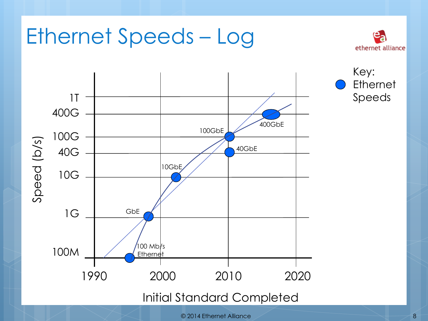

#### Ethernet Speeds – Log



<sup>© 2014</sup> Ethernet Alliance 8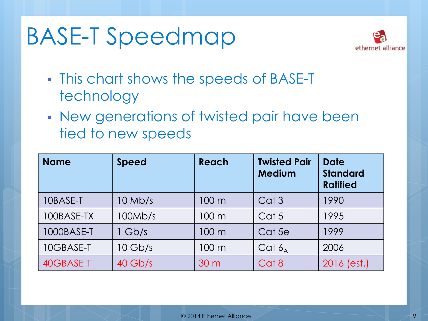# BASE-T Speedmap



- This chart shows the speeds of BASE-T technology
- New generations of twisted pair have been tied to new speeds

| <b>Name</b> | <b>Speed</b> | Reach           | <b>Twisted Pair</b><br><b>Medium</b> | <b>Date</b><br><b>Standard</b><br><b>Ratified</b> |
|-------------|--------------|-----------------|--------------------------------------|---------------------------------------------------|
| 10BASE-T    | $10$ Mb/s    | 100 m           | Cat <sub>3</sub>                     | 1990                                              |
| 100BASE-TX  | 100Mb/s      | 100 m           | Cat 5                                | 1995                                              |
| 1000BASE-T  | $1$ Gb/s     | 100 m           | Cat 5e                               | 1999                                              |
| 10GBASE-T   | $10$ Gb/s    | $100 \text{ m}$ | Cat $6_A$                            | 2006                                              |
| 40GBASE-T   | $40$ Gb/s    | 30 <sub>m</sub> | Cat 8                                | 2016 (est.)                                       |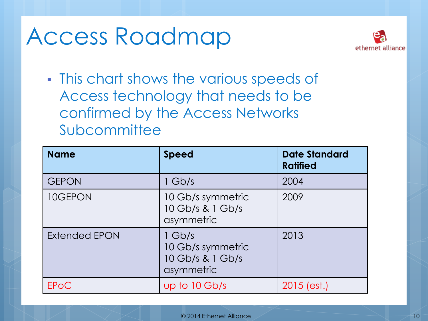### Access Roadmap



**This chart shows the various speeds of** Access technology that needs to be confirmed by the Access Networks Subcommittee

| <b>Name</b>          | <b>Speed</b>                                                    | <b>Date Standard</b><br><b>Ratified</b> |
|----------------------|-----------------------------------------------------------------|-----------------------------------------|
| <b>GEPON</b>         | $1$ Gb/s                                                        | 2004                                    |
| 10GEPON              | 10 Gb/s symmetric<br>10 Gb/s & 1 Gb/s<br>asymmetric             | 2009                                    |
| <b>Extended EPON</b> | $1$ Gb/s<br>10 Gb/s symmetric<br>10 Gb/s & 1 Gb/s<br>asymmetric | 2013                                    |
| <b>EPOC</b>          | up to 10 Gb/s                                                   | $2015$ (est.)                           |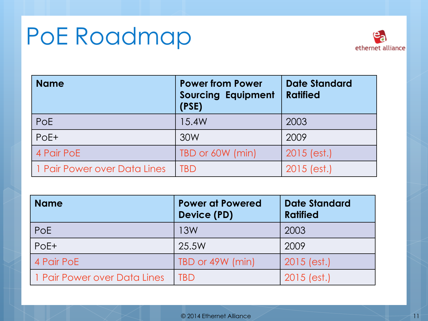## PoE Roadmap



| <b>Name</b>                  | <b>Power from Power</b><br><b>Sourcing Equipment</b><br>(PSE) | <b>Date Standard</b><br><b>Ratified</b> |
|------------------------------|---------------------------------------------------------------|-----------------------------------------|
| PoE                          | 15.4W                                                         | 2003                                    |
| PoE+                         | 30W                                                           | 2009                                    |
| 4 Pair PoE                   | TBD or 60W (min)                                              | $2015$ (est.)                           |
| 1 Pair Power over Data Lines | TBD                                                           | $2015$ (est.)                           |

| <b>Name</b>                  | <b>Power at Powered</b><br>Device (PD) | <b>Date Standard</b><br><b>Ratified</b> |
|------------------------------|----------------------------------------|-----------------------------------------|
| <b>PoE</b>                   | 13W                                    | 2003                                    |
| $PoE+$                       | 25.5W                                  | 2009                                    |
| 4 Pair PoE                   | TBD or 49W (min)                       | $2015$ (est.)                           |
| 1 Pair Power over Data Lines | TBD                                    | $2015$ (est.)                           |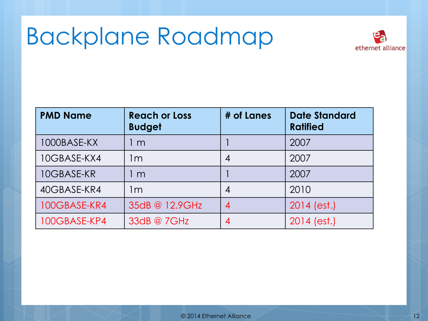### Backplane Roadmap



| <b>PMD Name</b> | <b>Reach or Loss</b><br><b>Budget</b> | # of Lanes       | <b>Date Standard</b><br><b>Ratified</b> |
|-----------------|---------------------------------------|------------------|-----------------------------------------|
| 1000BASE-KX     | l m                                   |                  | 2007                                    |
| 10GBASE-KX4     | l m                                   | 4                | 2007                                    |
| 10GBASE-KR      | l m                                   |                  | 2007                                    |
| 40GBASE-KR4     | 1m                                    | 4                | 2010                                    |
| 100GBASE-KR4    | 35dB @ 12.9GHz                        | $\boldsymbol{A}$ | $2014$ (est.)                           |
| 100GBASE-KP4    | 33dB @ 7GHz                           | 4                | $2014$ (est.)                           |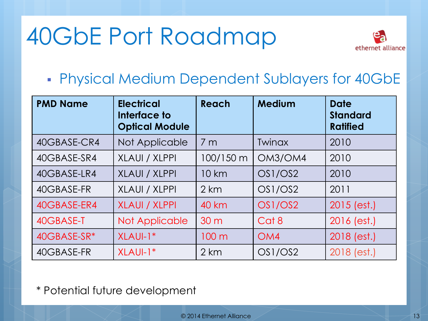# 40GbE Port Roadmap



Physical Medium Dependent Sublayers for 40GbE

| <b>PMD Name</b> | <b>Electrical</b><br>Interface to<br><b>Optical Module</b> | Reach           | <b>Medium</b> | <b>Date</b><br><b>Standard</b><br><b>Ratified</b> |
|-----------------|------------------------------------------------------------|-----------------|---------------|---------------------------------------------------|
| 40GBASE-CR4     | Not Applicable                                             | 7 <sub>m</sub>  | <b>Twinax</b> | 2010                                              |
| 40GBASE-SR4     | XLAUI / XLPPI                                              | 100/150 m       | OM3/OM4       | 2010                                              |
| 40GBASE-LR4     | <b>XLAUI / XLPPI</b>                                       | 10 km           | OS1/OS2       | 2010                                              |
| 40GBASE-FR      | XLAUI / XLPPI                                              | 2 km            | OS1/OS2       | 2011                                              |
| 40GBASE-ER4     | <b>XLAUI / XLPPI</b>                                       | <b>40 km</b>    | OS1/OS2       | $2015$ (est.)                                     |
| 40GBASE-T       | Not Applicable                                             | 30 <sub>m</sub> | Cat 8         | 2016 (est.)                                       |
| 40GBASE-SR*     | XLAUI-1*                                                   | 100 m           | OM4           | 2018 (est.)                                       |
| 40GBASE-FR      | XLAUI-1*                                                   | 2 km            | OS1/OS2       | 2018 (est.)                                       |

\* Potential future development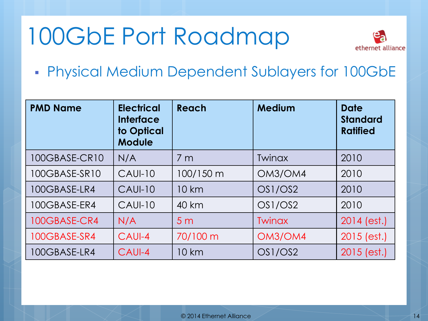# 100GbE Port Roadmap



Physical Medium Dependent Sublayers for 100GbE

| <b>PMD Name</b> | <b>Electrical</b><br><b>Interface</b><br>to Optical<br><b>Module</b> | Reach          | <b>Medium</b> | <b>Date</b><br><b>Standard</b><br><b>Ratified</b> |
|-----------------|----------------------------------------------------------------------|----------------|---------------|---------------------------------------------------|
| 100GBASE-CR10   | N/A                                                                  | 7 <sub>m</sub> | Twinax        | 2010                                              |
| 100GBASE-SR10   | <b>CAUI-10</b>                                                       | 100/150 m      | OM3/OM4       | 2010                                              |
| 100GBASE-LR4    | <b>CAUI-10</b>                                                       | 10 km          | OS1/OS2       | 2010                                              |
| 100GBASE-ER4    | <b>CAUI-10</b>                                                       | 40 km          | OS1/OS2       | 2010                                              |
| 100GBASE-CR4    | N/A                                                                  | 5 <sub>m</sub> | Twinax        | $2014$ (est.)                                     |
| 100GBASE-SR4    | CAUI-4                                                               | 70/100 m       | OM3/OM4       | $2015$ (est.)                                     |
| 100GBASE-LR4    | CAUI-4                                                               | 10 km          | OS1/OS2       | $2015$ (est.)                                     |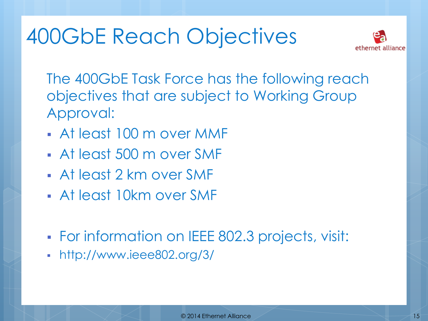#### 400GbE Reach Objectives



The 400GbE Task Force has the following reach objectives that are subject to Working Group Approval:

- At least 100 m over MMF
- At least 500 m over SMF
- At least 2 km over SMF
- At least 10km over SMF
- For information on IEEE 802.3 projects, visit:
- http://www.ieee802.org/3/